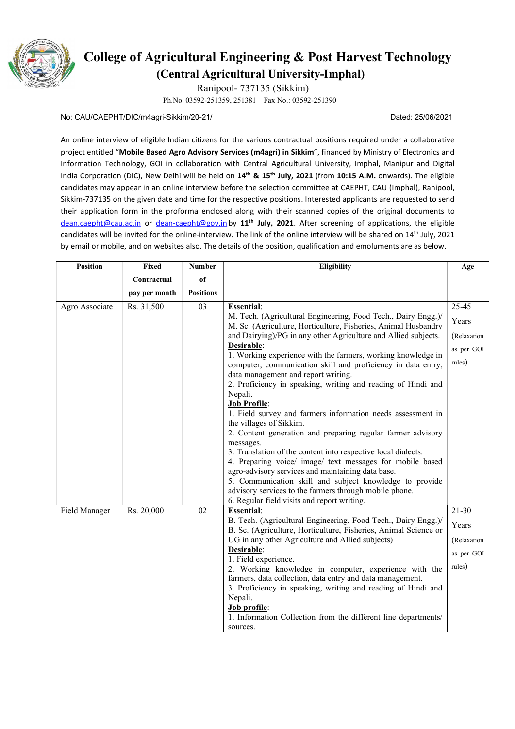

## College of Agricultural Engineering & Post Harvest Technology (Central Agricultural University-Imphal)

Ranipool- 737135 (Sikkim)

Ph.No. 03592-251359, 251381 Fax No.: 03592-251390

## No: CAU/CAEPHT/DIC/m4agri-Sikkim/20-21/ Dated: 25/06/2021

An online interview of eligible Indian citizens for the various contractual positions required under a collaborative project entitled "Mobile Based Agro Advisory Services (m4agri) in Sikkim", financed by Ministry of Electronics and Information Technology, GOI in collaboration with Central Agricultural University, Imphal, Manipur and Digital India Corporation (DIC), New Delhi will be held on 14<sup>th</sup> & 15<sup>th</sup> July, 2021 (from 10:15 A.M. onwards). The eligible candidates may appear in an online interview before the selection committee at CAEPHT, CAU (Imphal), Ranipool, Sikkim-737135 on the given date and time for the respective positions. Interested applicants are requested to send their application form in the proforma enclosed along with their scanned copies of the original documents to dean.caepht@cau.ac.in or dean-caepht@gov.in by 11<sup>th</sup> July, 2021. After screening of applications, the eligible candidates will be invited for the online-interview. The link of the online interview will be shared on 14<sup>th</sup> July, 2021 by email or mobile, and on websites also. The details of the position, qualification and emoluments are as below.

| <b>Position</b> | Fixed         | <b>Number</b>    | <b>Eligibility</b>                                                                                                                                                                                                                                                                                                                                                                                                                                                                                                                                                                                                                                                                                                                                                                                                                                                                                                                                                                                                                         | Age                                                         |
|-----------------|---------------|------------------|--------------------------------------------------------------------------------------------------------------------------------------------------------------------------------------------------------------------------------------------------------------------------------------------------------------------------------------------------------------------------------------------------------------------------------------------------------------------------------------------------------------------------------------------------------------------------------------------------------------------------------------------------------------------------------------------------------------------------------------------------------------------------------------------------------------------------------------------------------------------------------------------------------------------------------------------------------------------------------------------------------------------------------------------|-------------------------------------------------------------|
|                 | Contractual   | of               |                                                                                                                                                                                                                                                                                                                                                                                                                                                                                                                                                                                                                                                                                                                                                                                                                                                                                                                                                                                                                                            |                                                             |
|                 | pay per month | <b>Positions</b> |                                                                                                                                                                                                                                                                                                                                                                                                                                                                                                                                                                                                                                                                                                                                                                                                                                                                                                                                                                                                                                            |                                                             |
| Agro Associate  | Rs. 31,500    | 03               | <b>Essential:</b><br>M. Tech. (Agricultural Engineering, Food Tech., Dairy Engg.)/<br>M. Sc. (Agriculture, Horticulture, Fisheries, Animal Husbandry<br>and Dairying)/PG in any other Agriculture and Allied subjects.<br>Desirable:<br>1. Working experience with the farmers, working knowledge in<br>computer, communication skill and proficiency in data entry,<br>data management and report writing.<br>2. Proficiency in speaking, writing and reading of Hindi and<br>Nepali.<br><b>Job Profile:</b><br>1. Field survey and farmers information needs assessment in<br>the villages of Sikkim.<br>2. Content generation and preparing regular farmer advisory<br>messages.<br>3. Translation of the content into respective local dialects.<br>4. Preparing voice/ image/ text messages for mobile based<br>agro-advisory services and maintaining data base.<br>5. Communication skill and subject knowledge to provide<br>advisory services to the farmers through mobile phone.<br>6. Regular field visits and report writing. | 25-45<br>Years<br>(Relaxation<br>as per GOI<br>rules)       |
| Field Manager   | Rs. 20,000    | 02               | <b>Essential:</b><br>B. Tech. (Agricultural Engineering, Food Tech., Dairy Engg.)/<br>B. Sc. (Agriculture, Horticulture, Fisheries, Animal Science or<br>UG in any other Agriculture and Allied subjects)<br>Desirable:<br>1. Field experience.<br>2. Working knowledge in computer, experience with the<br>farmers, data collection, data entry and data management.<br>3. Proficiency in speaking, writing and reading of Hindi and<br>Nepali.<br>Job profile:<br>1. Information Collection from the different line departments/<br>sources.                                                                                                                                                                                                                                                                                                                                                                                                                                                                                             | $21-30$<br>Years<br>(Relaxation)<br>as per GOI<br>$rules$ ) |